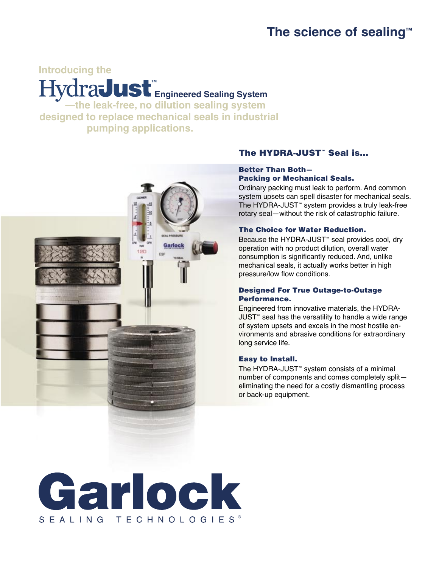## **The science of sealing™**

## **Introducing the**  $\mathbf{Hydradust}_{\mathbf{Engineered} \; \mathbf{Sealing} \; \mathbf{System}}$ **—the leak-free, no dilution sealing system**

**designed to replace mechanical seals in industrial pumping applications.** 



## The HYDRA-JUST<sup>™</sup> Seal is...

## Better Than Both— Packing or Mechanical Seals.

Ordinary packing must leak to perform. And common system upsets can spell disaster for mechanical seals. The HYDRA-JUST™ system provides a truly leak-free rotary seal—without the risk of catastrophic failure.

## The Choice for Water Reduction.

Because the HYDRA-JUST™ seal provides cool, dry operation with no product dilution, overall water consumption is significantly reduced. And, unlike mechanical seals, it actually works better in high pressure/low flow conditions.

### Designed For True Outage-to-Outage Performance.

Engineered from innovative materials, the HYDRA-JUST™ seal has the versatility to handle a wide range of system upsets and excels in the most hostile environments and abrasive conditions for extraordinary long service life.

## Easy to Install.

The HYDRA-JUST™ system consists of a minimal number of components and comes completely split eliminating the need for a costly dismantling process or back-up equipment.

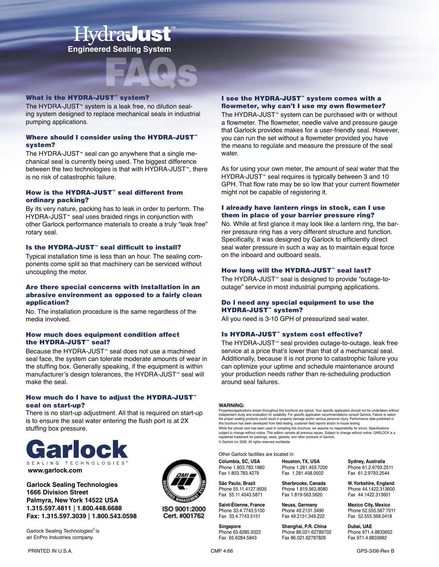# **Hydradust Engineered Sealing System**



#### **What is the HYDRA-JUST™ system?**

The HYDRA-JUST™ system is a leak free, no dilution sealing system designed to replace mechanical seals in industrial pumping applications.

#### Where should I consider using the HYDRA-JUST™ system?

The HYDRA-JUST™ seal can go anywhere that a single mechanical seal is currently being used. The biggest difference between the two technologies is that with HYDRA-JUST<sup>™</sup>, there is no risk of catastrophic failure.

#### How is the HYDRA-JUST™ seal different from ordinary packing?

By its very nature, packing has to leak in order to perform. The HYDRA-JUST<sup>™</sup> seal uses braided rings in conjunction with other Garlock performance materials to create a truly "leak free" rotary seal.

#### Is the HYDRA-JUST™ seal difficult to install?

Typical installation time is less than an hour. The sealing components come split so that machinery can be serviced without uncoupling the motor.

#### Are there special concerns with installation in an abrasive environment as opposed to a fairly clean application?

No. The installation procedure is the same regardless of the media involved.

#### How much does equipment condition affect the HYDRA-JUST™ seal?

Because the HYDRA-JUST™ seal does not use a machined seal face, the system can tolerate moderate amounts of wear in the stuffing box. Generally speaking, if the equipment is within manufacturer's design tolerances, the HYDRA-JUST™ seal will make the seal.

#### How much do I have to adjust the HYDRA-JUST™ seal on start-up?

There is no start-up adjustment. All that is required on start-up is to ensure the seal water entering the flush port is at 2X stuffing box pressure.



**Garlock Sealing Technologies 1666 Division Street Palmyra, New York 14522 USA 1.315.597.4811 | 1.800.448.6688 Fax: 1.315.597.3039 | 1.800.543.0598**

Garlock Sealing Technologies<sup>®</sup> is an EnPro Industries company.

ISO 9001:2000 Cert. #001762

### I see the HYDRA-JUST™ system comes with a flowmeter, why can't I use my own flowmeter?

The HYDRA-JUST™ system can be purchased with or without a flowmeter. The flowmeter, needle valve and pressure gauge that Garlock provides makes for a user-friendly seal. However, you can run the set without a flowmeter provided you have the means to regulate and measure the pressure of the seal water.

As for using your own meter, the amount of seal water that the HYDRA-JUST<sup>™</sup> seal requires is typically between 3 and 10 GPH. That flow rate may be so low that your current flowmeter might not be capable of registering it.

#### I already have lantern rings in stock, can I use them in place of your barrier pressure ring?

No. While at first glance it may look like a lantern ring, the barrier pressure ring has a very different structure and function. Specifically, it was designed by Garlock to efficiently direct seal water pressure in such a way as to maintain equal force on the inboard and outboard seals.

#### How long will the HYDRA-JUST™ seal last?

The HYDRA-JUST™ seal is designed to provide "outage-tooutage" service in most industrial pumping applications.

#### Do I need any special equipment to use the HYDRA-JUST<sup>™</sup> system?

All you need is 3-10 GPH of pressurized seal water.

#### Is HYDRA-JUST™ system cost effective?

The HYDRA-JUST™ seal provides outage-to-outage, leak free service at a price that's lower than that of a mechanical seal. Additionally, because it is not prone to catastrophic failure you can optimize your uptime and schedule maintenance around your production needs rather than re-scheduling production around seal failures.

#### **WARNING:**

Fax 55.11.4343.5871

Properties/applications shown throughout this brochure are typical. Your specific application should not be undertaken without independent study and evaluation for suitability. For specific application recommendations consult Garlock. Failure to select the proper sealing products could result in property damage and/or serious personal injury. Performance data published in this brochure has been developed from field testing, customer field reports and/or in-house testing. While the utmost care has been used in compiling this brochure, we assume no responsibility for errors. Specifications<br>subject to change without notice. This edition cancels all previous issues. Subject to change without n © Garlock Inc 2006. All rights reserved worldwide.

Other Garlock facilities are located in:

**Columbia, SC, USA Houston, TX, USA Sydney, Australia**<br>Phone 1.803.783.1880 Phone 1.281.459.7200 Phone 61.2.9793.2 Phone 1.803.783.1880 Phone 1.281.459.7200 Phone 61.2.9793.2511 Fax 1.281.458.0502

**Singapore Shanghai, P.R. China Dubai, UAE** Phone 65.6285.9322 Phone 86.021.62789702 Phone 971.4.8833652 Fax 65.6284.5843 Fax 86.021.62787826 Fax 971.4.8833682

**São Paulo, Brazil Sherbrooke, Canada W. Yorkshire, England** Phone 55.11.4127.9935 Phone 1.819.563.8080 Phone 44.1422.313600

**Saint-Étienne, France Neuss, Germany Mexico City, Mexico Phone 49.2131.3490** Phone 52.555.567.70 Phone 33.4.7743.5100 Phone 49.2131.3490 Phone 52.555.567.7011 Fax 52.555.368.0418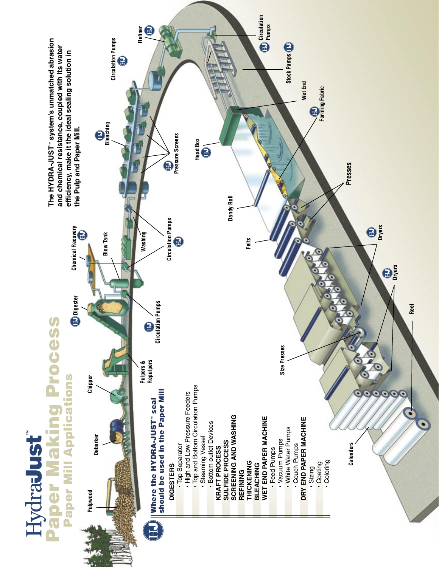